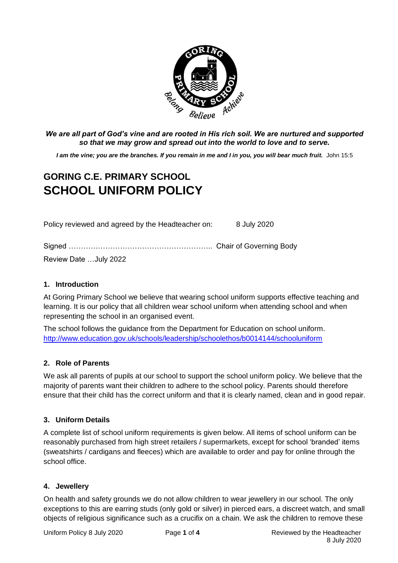

*We are all part of God's vine and are rooted in His rich soil. We are nurtured and supported so that we may grow and spread out into the world to love and to serve.*

*I am the vine; you are the branches. If you remain in me and I in you, you will bear much fruit.* John 15:5

# **GORING C.E. PRIMARY SCHOOL SCHOOL UNIFORM POLICY**

Policy reviewed and agreed by the Headteacher on: 8 July 2020

| Review Date July 2022 |  |
|-----------------------|--|

# **1. Introduction**

At Goring Primary School we believe that wearing school uniform supports effective teaching and learning. It is our policy that all children wear school uniform when attending school and when representing the school in an organised event.

The school follows the guidance from the Department for Education on school uniform. <http://www.education.gov.uk/schools/leadership/schoolethos/b0014144/schooluniform>

## **2. Role of Parents**

We ask all parents of pupils at our school to support the school uniform policy. We believe that the majority of parents want their children to adhere to the school policy. Parents should therefore ensure that their child has the correct uniform and that it is clearly named, clean and in good repair.

## **3. Uniform Details**

A complete list of school uniform requirements is given below. All items of school uniform can be reasonably purchased from high street retailers / supermarkets, except for school 'branded' items (sweatshirts / cardigans and fleeces) which are available to order and pay for online through the school office.

## **4. Jewellery**

On health and safety grounds we do not allow children to wear jewellery in our school. The only exceptions to this are earring studs (only gold or silver) in pierced ears, a discreet watch, and small objects of religious significance such as a crucifix on a chain. We ask the children to remove these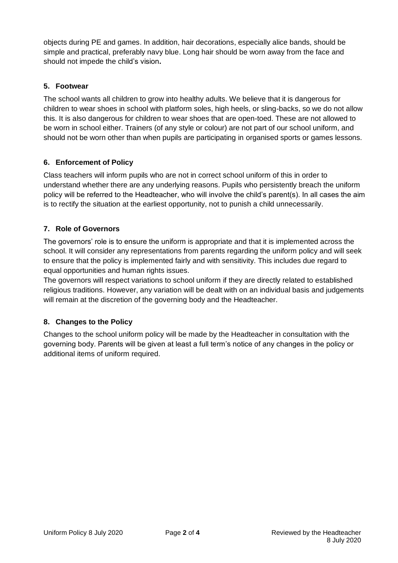objects during PE and games. In addition, hair decorations, especially alice bands, should be simple and practical, preferably navy blue. Long hair should be worn away from the face and should not impede the child's vision**.**

# **5. Footwear**

The school wants all children to grow into healthy adults. We believe that it is dangerous for children to wear shoes in school with platform soles, high heels, or sling-backs, so we do not allow this. It is also dangerous for children to wear shoes that are open-toed. These are not allowed to be worn in school either. Trainers (of any style or colour) are not part of our school uniform, and should not be worn other than when pupils are participating in organised sports or games lessons.

# **6. Enforcement of Policy**

Class teachers will inform pupils who are not in correct school uniform of this in order to understand whether there are any underlying reasons. Pupils who persistently breach the uniform policy will be referred to the Headteacher, who will involve the child's parent(s). In all cases the aim is to rectify the situation at the earliest opportunity, not to punish a child unnecessarily.

# **7. Role of Governors**

The governors' role is to ensure the uniform is appropriate and that it is implemented across the school. It will consider any representations from parents regarding the uniform policy and will seek to ensure that the policy is implemented fairly and with sensitivity. This includes due regard to equal opportunities and human rights issues.

The governors will respect variations to school uniform if they are directly related to established religious traditions. However, any variation will be dealt with on an individual basis and judgements will remain at the discretion of the governing body and the Headteacher.

# **8. Changes to the Policy**

Changes to the school uniform policy will be made by the Headteacher in consultation with the governing body. Parents will be given at least a full term's notice of any changes in the policy or additional items of uniform required.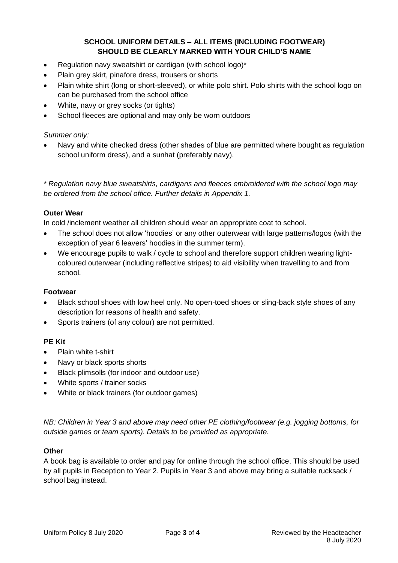# **SCHOOL UNIFORM DETAILS – ALL ITEMS (INCLUDING FOOTWEAR) SHOULD BE CLEARLY MARKED WITH YOUR CHILD'S NAME**

- Regulation navy sweatshirt or cardigan (with school logo)\*
- Plain grey skirt, pinafore dress, trousers or shorts
- Plain white shirt (long or short-sleeved), or white polo shirt. Polo shirts with the school logo on can be purchased from the school office
- White, navy or grey socks (or tights)
- School fleeces are optional and may only be worn outdoors

#### *Summer only:*

 Navy and white checked dress (other shades of blue are permitted where bought as regulation school uniform dress), and a sunhat (preferably navy).

*\* Regulation navy blue sweatshirts, cardigans and fleeces embroidered with the school logo may be ordered from the school office. Further details in Appendix 1.*

#### **Outer Wear**

In cold /inclement weather all children should wear an appropriate coat to school.

- The school does not allow 'hoodies' or any other outerwear with large patterns/logos (with the exception of year 6 leavers' hoodies in the summer term).
- We encourage pupils to walk / cycle to school and therefore support children wearing lightcoloured outerwear (including reflective stripes) to aid visibility when travelling to and from school.

## **Footwear**

- Black school shoes with low heel only. No open-toed shoes or sling-back style shoes of any description for reasons of health and safety.
- Sports trainers (of any colour) are not permitted.

## **PE Kit**

- Plain white t-shirt
- Navy or black sports shorts
- Black plimsolls (for indoor and outdoor use)
- White sports / trainer socks
- White or black trainers (for outdoor games)

*NB: Children in Year 3 and above may need other PE clothing/footwear (e.g. jogging bottoms, for outside games or team sports). Details to be provided as appropriate.* 

# **Other**

A book bag is available to order and pay for online through the school office. This should be used by all pupils in Reception to Year 2. Pupils in Year 3 and above may bring a suitable rucksack / school bag instead.